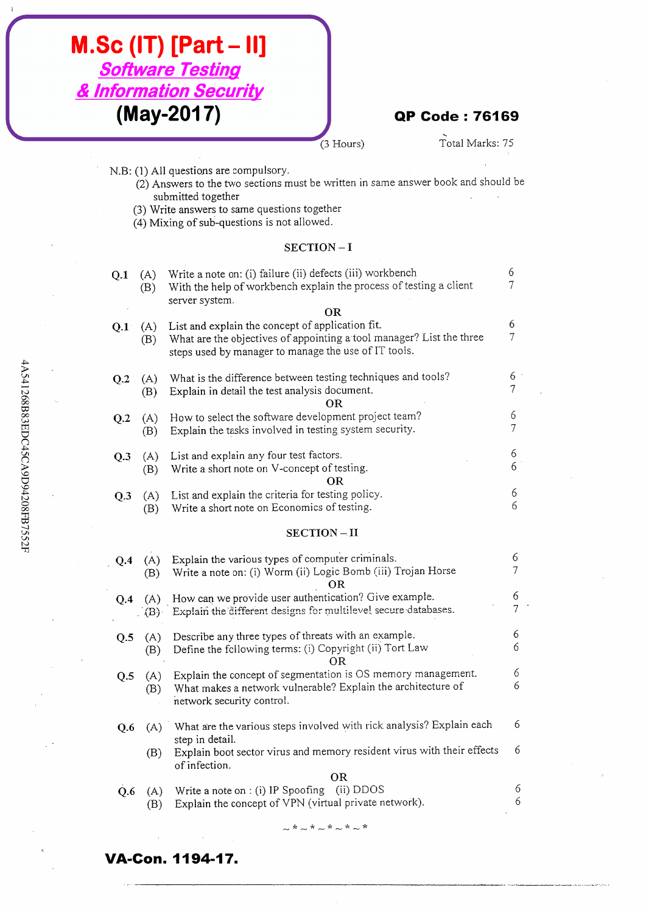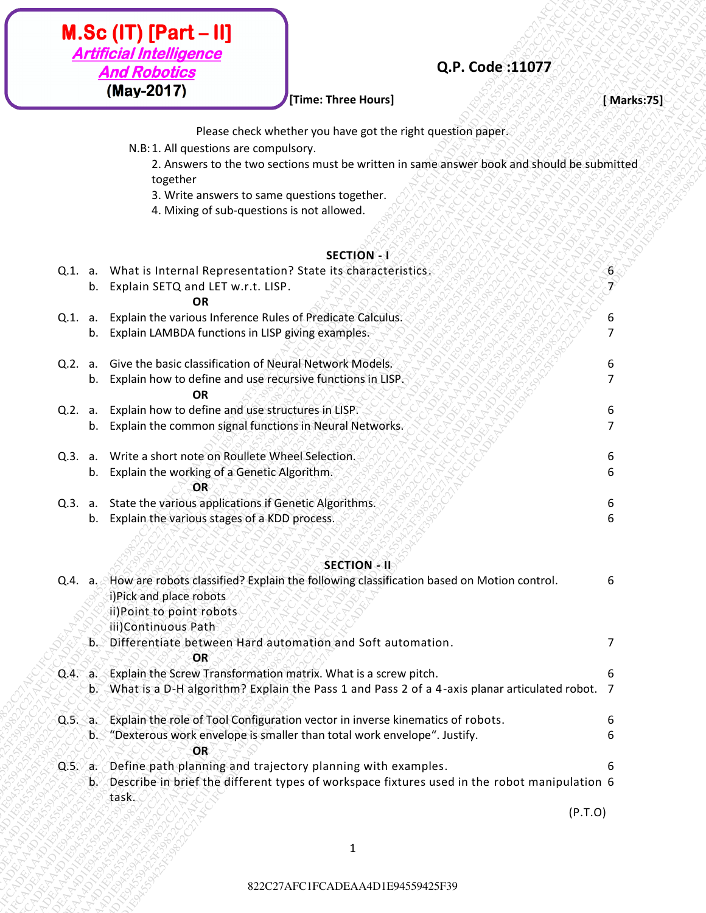| M.Sc (IT) [Part – II]          |
|--------------------------------|
| <b>Artificial Intelligence</b> |
| <b>And Robotics</b>            |
| $(May-2017)$                   |

# **Q.P. Code :11077**

### **[Time: Three Hours]** *Department* **of the Marks:75]**

- 3. Write answers to same questions together.
- 4. Mixing of sub-questions is not allowed.

#### **SECTION - I**

|            |     | Q.P. Code:11077<br><b>And Robotics</b>                                                                                                                                                          |                |
|------------|-----|-------------------------------------------------------------------------------------------------------------------------------------------------------------------------------------------------|----------------|
|            |     | (May-2017)<br>[Time: Three Hours]                                                                                                                                                               | [Marks:75]     |
|            |     | Please check whether you have got the right question paper.                                                                                                                                     |                |
|            |     | N.B: 1. All questions are compulsory.<br>2. Answers to the two sections must be written in same answer book and should be submitted<br>together<br>3. Write answers to same questions together. |                |
|            |     | 4. Mixing of sub-questions is not allowed.                                                                                                                                                      |                |
|            |     | SECTION - 1                                                                                                                                                                                     |                |
| Q.1. a.    |     | What is Internal Representation? State its characteristics.<br>b. Explain SETQ and LET w.r.t. LISP.                                                                                             | 6<br>7         |
|            |     | <b>OR</b>                                                                                                                                                                                       |                |
| Q.1.       | а.  | Explain the various Inference Rules of Predicate Calculus.<br>b. Explain LAMBDA functions in LISP giving examples.                                                                              | 6<br>7         |
| Q.2. a.    |     | Give the basic classification of Neural Network Models.                                                                                                                                         | 6              |
|            | b.  | Explain how to define and use recursive functions in LISP.<br><b>OR</b>                                                                                                                         | $\overline{7}$ |
| Q.2. a.    |     | Explain how to define and use structures in LISP.<br>b. Explain the common signal functions in Neural Networks.                                                                                 | 6              |
|            |     |                                                                                                                                                                                                 |                |
| Q.3. a.    | b.  | Write a short note on Roullete Wheel Selection.<br>Explain the working of a Genetic Algorithm.<br>OR                                                                                            | 6<br>6         |
| Q.3. a.    |     | State the various applications if Genetic Algorithms.                                                                                                                                           | 6              |
|            |     | b. Explain the various stages of a KDD process.                                                                                                                                                 | 6              |
|            |     | <b>SECTION - II</b>                                                                                                                                                                             |                |
|            |     | Q.4. a. How are robots classified? Explain the following classification based on Motion control.<br>i)Pick and place robots                                                                     | 6              |
|            |     | ii) Point to point robots<br>iii)Continuous Path                                                                                                                                                |                |
|            |     | b. Differentiate between Hard automation and Soft automation.<br>-OR                                                                                                                            | 7              |
| $Q.4 - a.$ |     | Explain the Screw Transformation matrix. What is a screw pitch.                                                                                                                                 | 6              |
|            |     | b. What is a D-H algorithm? Explain the Pass 1 and Pass 2 of a 4-axis planar articulated robot. 7                                                                                               |                |
| Q.5.       | ≷a∂ | Explain the role of Tool Configuration vector in inverse kinematics of robots.<br>b. "Dexterous work envelope is smaller than total work envelope". Justify.                                    | 6<br>6         |
| $Q.5.$ a.  |     | OR<br>Define path planning and trajectory planning with examples.<br>b. Describe in brief the different types of workspace fixtures used in the robot manipulation 6                            |                |
|            |     | task.                                                                                                                                                                                           |                |
|            |     | (P.T.O)                                                                                                                                                                                         |                |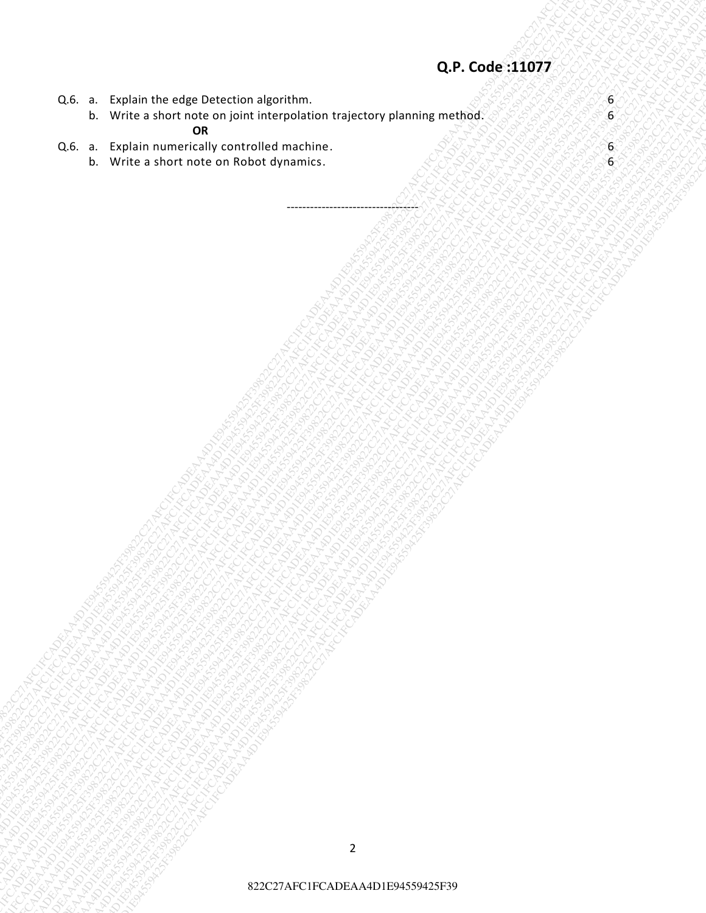## **Q.P. Code :11077**

- **Q.6. a. Explain the edge Detection algorithm.** And the set of the set of the set of  $\mathcal{S}(\mathcal{S},\mathcal{S})$
- 822C27AFC1FCADEAA4D1E94559425F39822C27AFC1FCADEAA4D1E94559425F39822C27AFC1FCADEAA4D1E94559425F39822C27AFC1FCADEAA4D1E94559425F39822C27AFC1FCADEAA4D1E94559425F39822C27AFC1FCADEAA4D1E94559425F39 822C27AFC1FCADEAA4D1E94559425F39822C27AFC1FCADEAA4D1E94559425F39822C27AFC1FCADEAA4D1E94559425F39822C27AFC1FCADEAA4D1E94559425F39822C27AFC1FCADEAA4D1E94559425F39822C27AFC1FCADEAA4D1E94559425F39 822C27AFC1FCADEAA4D1E94559425F39822C27AFC1FCADEAA4D1E94559425F39822C27AFC1FCADEAA4D1E94559425F39822C27AFC1FCADEAA4D1E94559425F39822C27AFC1FCADEAA4D1E94559425F39822C27AFC1FCADEAA4D1E94559425F39 822C27AFC1FCADEAA4D1E94559425F39822C27AFC1FCADEAA4D1E94559425F39822C27AFC1FCADEAA4D1E94559425F39822C27AFC1FCADEAA4D1E94559425F39822C27AFC1FCADEAA4D1E94559425F39822C27AFC1FCADEAA4D1E94559425F39 822C27AFC1FCADEAA4D1E94559425F39822C27AFC1FCADEAA4D1E94559425F39822C27AFC1FCADEAA4D1E94559425F39822C27AFC1FCADEAA4D1E94559425F39822C27AFC1FCADEAA4D1E94559425F39822C27AFC1FCADEAA4D1E94559425F39  $\begin{bmatrix}\n 0.5 & \text{Equation: } \end{bmatrix}\n \begin{bmatrix}\n 0.7 & \text{Code-11677} \end{bmatrix}\n \begin{bmatrix}\n 0.7 & \text{Code-11677} \end{bmatrix}\n \begin{bmatrix}\n 0.7 & \text{Code-11677} \end{bmatrix}\n \begin{bmatrix}\n 0.7 & \text{Code-11677} \end{bmatrix}\n \begin{bmatrix}\n 0.7 & \text{Code-11677} \end{bmatrix}\n \begin{bmatrix}\n 0.7 & \text{Code-11677} \end{bmatrix}\n \begin{bmatrix}\n$  $\begin{bmatrix}\n 0.5 & \text{Equation: } \end{bmatrix}\n \begin{bmatrix}\n 0.7 & \text{Code-11677} \end{bmatrix}\n \begin{bmatrix}\n 0.7 & \text{Code-11677} \end{bmatrix}\n \begin{bmatrix}\n 0.7 & \text{Code-11677} \end{bmatrix}\n \begin{bmatrix}\n 0.7 & \text{Code-11677} \end{bmatrix}\n \begin{bmatrix}\n 0.7 & \text{Code-11677} \end{bmatrix}\n \begin{bmatrix}\n 0.7 & \text{Code-11677} \end{bmatrix}\n \begin{bmatrix}\n$  $\begin{bmatrix}\n 0.5 & \text{Equation: } \end{bmatrix}\n \begin{bmatrix}\n 0.7 & \text{Code-11677} \end{bmatrix}\n \begin{bmatrix}\n 0.7 & \text{Code-11677} \end{bmatrix}\n \begin{bmatrix}\n 0.7 & \text{Code-11677} \end{bmatrix}\n \begin{bmatrix}\n 0.7 & \text{Code-11677} \end{bmatrix}\n \begin{bmatrix}\n 0.7 & \text{Code-11677} \end{bmatrix}\n \begin{bmatrix}\n 0.7 & \text{Code-11677} \end{bmatrix}\n \begin{bmatrix}\n$  $\begin{bmatrix}\n 0.5 & \text{Equation: } \end{bmatrix}\n \begin{bmatrix}\n 0.7 & \text{Code-11677} \end{bmatrix}\n \begin{bmatrix}\n 0.7 & \text{Code-11677} \end{bmatrix}\n \begin{bmatrix}\n 0.7 & \text{Code-11677} \end{bmatrix}\n \begin{bmatrix}\n 0.7 & \text{Code-11677} \end{bmatrix}\n \begin{bmatrix}\n 0.7 & \text{Code-11677} \end{bmatrix}\n \begin{bmatrix}\n 0.7 & \text{Code-11677} \end{bmatrix}\n \begin{bmatrix}\n$  $\begin{bmatrix}\n 0.5 & \text{Equation: } \end{bmatrix}\n \begin{bmatrix}\n 0.7 & \text{Code-11677} \end{bmatrix}\n \begin{bmatrix}\n 0.7 & \text{Code-11677} \end{bmatrix}\n \begin{bmatrix}\n 0.7 & \text{Code-11677} \end{bmatrix}\n \begin{bmatrix}\n 0.7 & \text{Code-11677} \end{bmatrix}\n \begin{bmatrix}\n 0.7 & \text{Code-11677} \end{bmatrix}\n \begin{bmatrix}\n 0.7 & \text{Code-11677} \end{bmatrix}\n \begin{bmatrix}\n$  $\begin{bmatrix}\n 0.5 & \text{Equation: } \end{bmatrix}\n \begin{bmatrix}\n 0.7 & \text{Code-11677} \end{bmatrix}\n \begin{bmatrix}\n 0.7 & \text{Code-11677} \end{bmatrix}\n \begin{bmatrix}\n 0.7 & \text{Code-11677} \end{bmatrix}\n \begin{bmatrix}\n 0.7 & \text{Code-11677} \end{bmatrix}\n \begin{bmatrix}\n 0.7 & \text{Code-11677} \end{bmatrix}\n \begin{bmatrix}\n 0.7 & \text{Code-11677} \end{bmatrix}\n \begin{bmatrix}\n$  $\begin{bmatrix}\n 0.5 & \text{Equation: } \end{bmatrix}\n \begin{bmatrix}\n 0.7 & \text{Code-11677} \end{bmatrix}\n \begin{bmatrix}\n 0.7 & \text{Code-11677} \end{bmatrix}\n \begin{bmatrix}\n 0.7 & \text{Code-11677} \end{bmatrix}\n \begin{bmatrix}\n 0.7 & \text{Code-11677} \end{bmatrix}\n \begin{bmatrix}\n 0.7 & \text{Code-11677} \end{bmatrix}\n \begin{bmatrix}\n 0.7 & \text{Code-11677} \end{bmatrix}\n \begin{bmatrix}\n$  $\begin{bmatrix}\n 0.5 & \text{Equation: } \end{bmatrix}\n \begin{bmatrix}\n 0.7 & \text{Code-11677} \end{bmatrix}\n \begin{bmatrix}\n 0.7 & \text{Code-11677} \end{bmatrix}\n \begin{bmatrix}\n 0.7 & \text{Code-11677} \end{bmatrix}\n \begin{bmatrix}\n 0.7 & \text{Code-11677} \end{bmatrix}\n \begin{bmatrix}\n 0.7 & \text{Code-11677} \end{bmatrix}\n \begin{bmatrix}\n 0.7 & \text{Code-11677} \end{bmatrix}\n \begin{bmatrix}\n$ 822C27AFC1FCADEAA4D1E94559425F39822C27AFC1FCADEAA4D1E94559425F39822C27AFC1FCADEAA4D1E94559425F39822C27AFC1FCADEAA4D1E94559425F39822C27AFC1FCADEAA4D1E94559425F39822C27AFC1FCADEAA4D1E94559425F39 822C27AFC1FCADEAA4D1E94559425F39822C27AFC1FCADEAA4D1E94559425F39822C27AFC1FCADEAA4D1E94559425F39822C27AFC1FCADEAA4D1E94559425F39822C27AFC1FCADEAA4D1E94559425F39822C27AFC1FCADEAA4D1E94559425F39  $\begin{bmatrix}\n 0.5 & k & 0.7 & 0.8 & k & 0.9 & 0.9 & k & 0.9 & k & 0.9 & k & 0.9 & k & 0.9 & k & 0.9 & k & 0.9 & k & 0.9 & k & 0.9 & k & 0.9 & k & 0.9 & k & 0.9 & k & 0.9 & k & 0.9 & k & 0.9 & k & 0.9 & k &$ 822C27AFC1FCADEAA4D1E94559425F39822C27AFC1FCADEAA4D1E94559425F39822C27AFC1FCADEAA4D1E94559425F39822C27AFC1FCADEAA4D1E94559425F39822C27AFC1FCADEAA4D1E94559425F39822C27AFC1FCADEAA4D1E94559425F39 822C27AFC1FCADEAA4D1E94559425F39822C27AFC1FCADEAA4D1E94559425F39822C27AFC1FCADEAA4D1E94559425F39822C27AFC1FCADEAA4D1E94559425F39822C27AFC1FCADEAA4D1E94559425F39822C27AFC1FCADEAA4D1E94559425F39 822C27AFC1FCADEAA4D1E94559425F39822C27AFC1FCADEAA4D1E94559425F39822C27AFC1FCADEAA4D1E94559425F39822C27AFC1FCADEAA4D1E94559425F39822C27AFC1FCADEAA4D1E94559425F39822C27AFC1FCADEAA4D1E94559425F39 822C27AFC1FCADEAA4D1E94559425F39822C27AFC1FCADEAA4D1E94559425F39822C27AFC1FCADEAA4D1E94559425F39822C27AFC1FCADEAA4D1E94559425F39822C27AFC1FCADEAA4D1E94559425F39822C27AFC1FCADEAA4D1E94559425F39 b. Write a short note on joint interpolation trajectory planning method.  $8888888886$  **OR**

----------------------------------

- **Q.6. a. Explain numerically controlled machine.**  $\mathcal{S}(\mathcal{S}, \mathcal{S}, \mathcal{S})$  and  $\mathcal{S}(\mathcal{S}, \mathcal{S})$ 
	- b. Write a short note on Robot dynamics.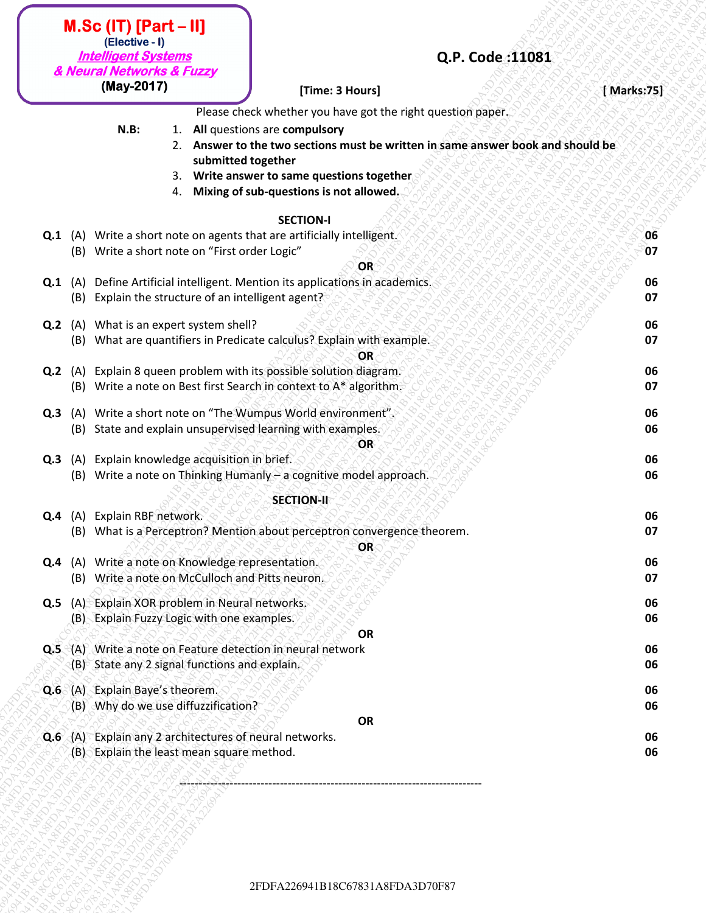| & Neural Networks & Fuzzy<br>(May-2017)<br>[Time: 3 Hours]<br>Please check whether you have got the right question paper.<br>1. All questions are compulsory<br>$N.B$ :<br>2. Answer to the two sections must be written in same answer book and should be<br>submitted together<br>Write answer to same questions together<br>3.<br>Mixing of sub-questions is not allowed.<br>4.<br><b>SECTION-I</b><br>Q.1 (A) Write a short note on agents that are artificially intelligent.<br>(B) Write a short note on "First order Logic"<br><b>OR</b><br>Define Artificial intelligent. Mention its applications in academics.<br>Q.1(A)<br>(B) Explain the structure of an intelligent agent?<br>What is an expert system shell?<br>$Q.2$ (A)<br>(B) What are quantifiers in Predicate calculus? Explain with example.<br>OR<br>Explain 8 queen problem with its possible solution diagram.<br>Q.2(A)<br>(B) Write a note on Best first Search in context to A* algorithm.<br>Q.3 (A) Write a short note on "The Wumpus World environment".<br>(B) State and explain unsupervised learning with examples.<br>OR<br>Explain knowledge acquisition in brief.<br>Q.3<br>(A)<br>(B) Write a note on Thinking Humanly - a cognitive model approach.<br><b>SECTION-II</b><br>Explain RBF network.<br>Q.4<br>(A)<br>(B) What is a Perceptron? Mention about perceptron convergence theorem. | [ Marks:75]<br>06<br>07<br>06<br>07<br>06<br>07<br>06 |
|---------------------------------------------------------------------------------------------------------------------------------------------------------------------------------------------------------------------------------------------------------------------------------------------------------------------------------------------------------------------------------------------------------------------------------------------------------------------------------------------------------------------------------------------------------------------------------------------------------------------------------------------------------------------------------------------------------------------------------------------------------------------------------------------------------------------------------------------------------------------------------------------------------------------------------------------------------------------------------------------------------------------------------------------------------------------------------------------------------------------------------------------------------------------------------------------------------------------------------------------------------------------------------------------------------------------------------------------------------------------------------|-------------------------------------------------------|
|                                                                                                                                                                                                                                                                                                                                                                                                                                                                                                                                                                                                                                                                                                                                                                                                                                                                                                                                                                                                                                                                                                                                                                                                                                                                                                                                                                                 |                                                       |
|                                                                                                                                                                                                                                                                                                                                                                                                                                                                                                                                                                                                                                                                                                                                                                                                                                                                                                                                                                                                                                                                                                                                                                                                                                                                                                                                                                                 |                                                       |
|                                                                                                                                                                                                                                                                                                                                                                                                                                                                                                                                                                                                                                                                                                                                                                                                                                                                                                                                                                                                                                                                                                                                                                                                                                                                                                                                                                                 |                                                       |
|                                                                                                                                                                                                                                                                                                                                                                                                                                                                                                                                                                                                                                                                                                                                                                                                                                                                                                                                                                                                                                                                                                                                                                                                                                                                                                                                                                                 |                                                       |
|                                                                                                                                                                                                                                                                                                                                                                                                                                                                                                                                                                                                                                                                                                                                                                                                                                                                                                                                                                                                                                                                                                                                                                                                                                                                                                                                                                                 |                                                       |
|                                                                                                                                                                                                                                                                                                                                                                                                                                                                                                                                                                                                                                                                                                                                                                                                                                                                                                                                                                                                                                                                                                                                                                                                                                                                                                                                                                                 | 07                                                    |
|                                                                                                                                                                                                                                                                                                                                                                                                                                                                                                                                                                                                                                                                                                                                                                                                                                                                                                                                                                                                                                                                                                                                                                                                                                                                                                                                                                                 | 06<br>06                                              |
|                                                                                                                                                                                                                                                                                                                                                                                                                                                                                                                                                                                                                                                                                                                                                                                                                                                                                                                                                                                                                                                                                                                                                                                                                                                                                                                                                                                 | 06<br>06                                              |
|                                                                                                                                                                                                                                                                                                                                                                                                                                                                                                                                                                                                                                                                                                                                                                                                                                                                                                                                                                                                                                                                                                                                                                                                                                                                                                                                                                                 | 06<br>07                                              |
| OR<br>Q.4 (A) Write a note on Knowledge representation.<br>Write a note on McCulloch and Pitts neuron.<br>(B)                                                                                                                                                                                                                                                                                                                                                                                                                                                                                                                                                                                                                                                                                                                                                                                                                                                                                                                                                                                                                                                                                                                                                                                                                                                                   | 06<br>07                                              |
| Q.5 (A) Explain XOR problem in Neural networks.<br>(B) Explain Fuzzy Logic with one examples.                                                                                                                                                                                                                                                                                                                                                                                                                                                                                                                                                                                                                                                                                                                                                                                                                                                                                                                                                                                                                                                                                                                                                                                                                                                                                   | 06<br>06                                              |
| <b>OR</b><br>Q.5 (A) Write a note on Feature detection in neural network<br>(B) State any 2 signal functions and explain.                                                                                                                                                                                                                                                                                                                                                                                                                                                                                                                                                                                                                                                                                                                                                                                                                                                                                                                                                                                                                                                                                                                                                                                                                                                       | 06<br>06                                              |
| Q.6 (A) Explain Baye's theorem.<br>(B) Why do we use diffuzzification?<br><b>OR</b>                                                                                                                                                                                                                                                                                                                                                                                                                                                                                                                                                                                                                                                                                                                                                                                                                                                                                                                                                                                                                                                                                                                                                                                                                                                                                             | 06<br>06                                              |
| Q.6 (A) Explain any 2 architectures of neural networks.<br>(B) Explain the least mean square method.                                                                                                                                                                                                                                                                                                                                                                                                                                                                                                                                                                                                                                                                                                                                                                                                                                                                                                                                                                                                                                                                                                                                                                                                                                                                            | 06<br>06                                              |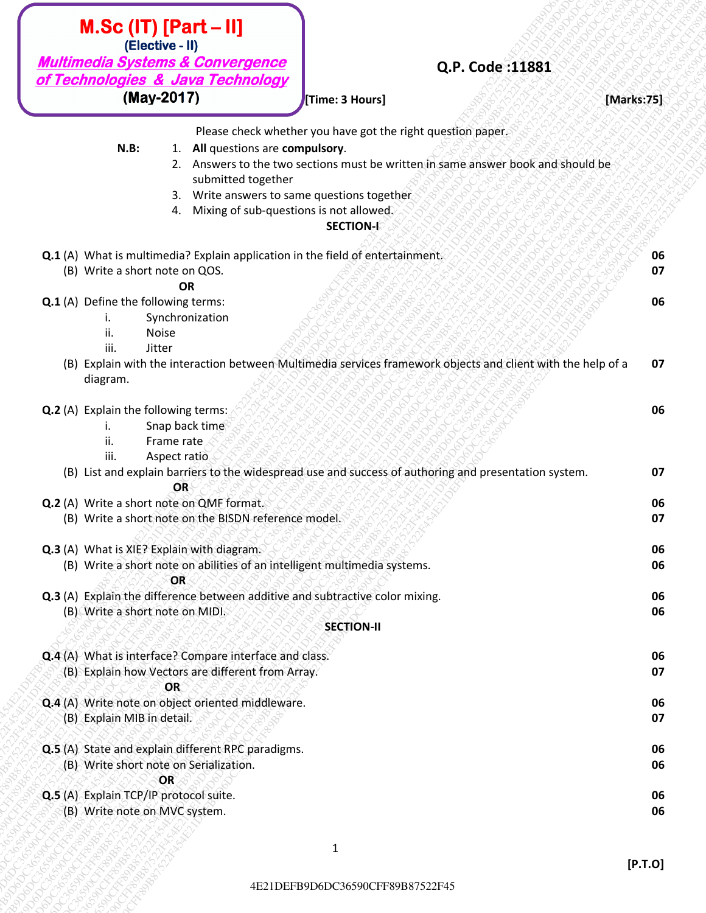| (May-2017)<br>[Time: 3 Hours]                                                                                                                                                                                                                                                                                                        |            |
|--------------------------------------------------------------------------------------------------------------------------------------------------------------------------------------------------------------------------------------------------------------------------------------------------------------------------------------|------------|
|                                                                                                                                                                                                                                                                                                                                      | [Marks:75] |
| Please check whether you have got the right question paper.<br>1. All questions are compulsory.<br>$N.B$ :<br>2. Answers to the two sections must be written in same answer book and should be<br>submitted together<br>Write answers to same questions together<br>3.<br>Mixing of sub-questions is not allowed.<br>4.<br>SECTION-I |            |
| Q.1 (A) What is multimedia? Explain application in the field of entertainment.                                                                                                                                                                                                                                                       | 06         |
| (B) Write a short note on QOS.<br><b>OR</b>                                                                                                                                                                                                                                                                                          | 07         |
| Q.1 (A) Define the following terms:<br>Synchronization<br>i.<br>ii.<br>Noise<br>iii.<br>Jitter                                                                                                                                                                                                                                       | 06         |
| (B) Explain with the interaction between Multimedia services framework objects and client with the help of a<br>diagram.                                                                                                                                                                                                             | 07         |
| Q.2 (A) Explain the following terms:<br>Snap back time<br>i.<br>ii.<br>Frame rate<br>iii.<br>Aspect ratio                                                                                                                                                                                                                            | 06         |
| (B) List and explain barriers to the widespread use and success of authoring and presentation system.<br>OR-                                                                                                                                                                                                                         | 07         |
| Q.2 (A) Write a short note on QMF format.<br>(B) Write a short note on the BISDN reference model.                                                                                                                                                                                                                                    | 06<br>07   |
| Q.3 (A) What is XIE? Explain with diagram.<br>(B) Write a short note on abilities of an intelligent multimedia systems.<br>OR                                                                                                                                                                                                        | 06<br>06   |
| Q.3 (A) Explain the difference between additive and subtractive color mixing.<br>(B) Write a short note on MIDI.                                                                                                                                                                                                                     | 06<br>06   |
| <b>SECTION-II</b>                                                                                                                                                                                                                                                                                                                    |            |
| Q.4 (A) What is interface? Compare interface and class.<br>(B) Explain how Vectors are different from Array.<br>OR                                                                                                                                                                                                                   | 06<br>07   |
| Q.4 (A) Write note on object oriented middleware.<br>(B) Explain MIB in detail.                                                                                                                                                                                                                                                      | 06<br>07   |
| Q.5 (A) State and explain different RPC paradigms.<br>(B) Write short note on Serialization.<br>OR                                                                                                                                                                                                                                   | 06<br>06   |
| Q.5 (A) Explain TCP/IP protocol suite.<br>(B) Write note on MVC system.                                                                                                                                                                                                                                                              | 06<br>06   |
| $\mathbf{1}$                                                                                                                                                                                                                                                                                                                         | [P.T.O]    |
| 4E21DEFB9D6DC36590CFF89B87522F45                                                                                                                                                                                                                                                                                                     |            |